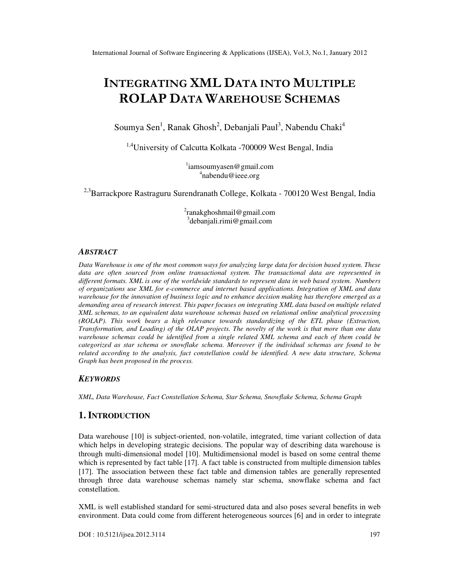# INTEGRATING XML DATA INTO MULTIPLE ROLAP DATA WAREHOUSE SCHEMAS

Soumya Sen<sup>1</sup>, Ranak Ghosh<sup>2</sup>, Debanjali Paul<sup>3</sup>, Nabendu Chaki<sup>4</sup>

<sup>1,4</sup>University of Calcutta Kolkata -700009 West Bengal, India

1 iamsoumyasen@gmail.com 4 nabendu@ieee.org

<sup>2,3</sup>Barrackpore Rastraguru Surendranath College, Kolkata - 700120 West Bengal, India

2 ranakghoshmail@gmail.com 3 debanjali.rimi@gmail.com

#### *ABSTRACT*

*Data Warehouse is one of the most common ways for analyzing large data for decision based system. These data are often sourced from online transactional system. The transactional data are represented in different formats. XML is one of the worldwide standards to represent data in web based system. Numbers of organizations use XML for e-commerce and internet based applications. Integration of XML and data warehouse for the innovation of business logic and to enhance decision making has therefore emerged as a demanding area of research interest. This paper focuses on integrating XML data based on multiple related XML schemas, to an equivalent data warehouse schemas based on relational online analytical processing (ROLAP). This work bears a high relevance towards standardizing of the ETL phase (Extraction, Transformation, and Loading) of the OLAP projects. The novelty of the work is that more than one data warehouse schemas could be identified from a single related XML schema and each of them could be categorized as star schema or snowflake schema. Moreover if the individual schemas are found to be related according to the analysis, fact constellation could be identified. A new data structure, Schema Graph has been proposed in the process.* 

#### *KEYWORDS*

*XML, Data Warehouse, Fact Constellation Schema, Star Schema, Snowflake Schema, Schema Graph* 

## **1. INTRODUCTION**

Data warehouse [10] is subject-oriented, non-volatile, integrated, time variant collection of data which helps in developing strategic decisions. The popular way of describing data warehouse is through multi-dimensional model [10]. Multidimensional model is based on some central theme which is represented by fact table [17]. A fact table is constructed from multiple dimension tables [17]. The association between these fact table and dimension tables are generally represented through three data warehouse schemas namely star schema, snowflake schema and fact constellation.

XML is well established standard for semi-structured data and also poses several benefits in web environment. Data could come from different heterogeneous sources [6] and in order to integrate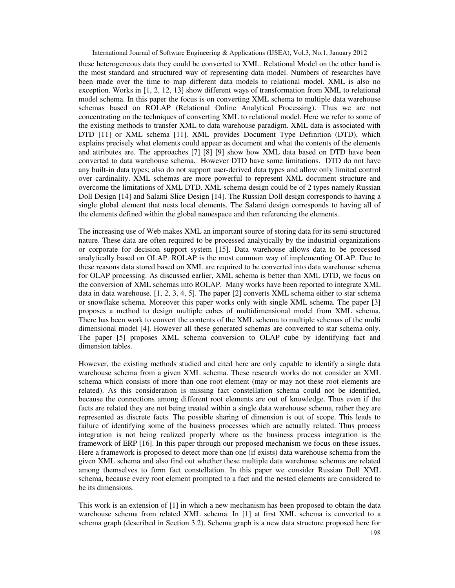these heterogeneous data they could be converted to XML. Relational Model on the other hand is the most standard and structured way of representing data model. Numbers of researches have been made over the time to map different data models to relational model. XML is also no exception. Works in [1, 2, 12, 13] show different ways of transformation from XML to relational model schema. In this paper the focus is on converting XML schema to multiple data warehouse schemas based on ROLAP (Relational Online Analytical Processing). Thus we are not concentrating on the techniques of converting XML to relational model. Here we refer to some of the existing methods to transfer XML to data warehouse paradigm. XML data is associated with DTD [11] or XML schema [11]. XML provides Document Type Definition (DTD), which explains precisely what elements could appear as document and what the contents of the elements and attributes are. The approaches [7] [8] [9] show how XML data based on DTD have been converted to data warehouse schema. However DTD have some limitations. DTD do not have any built-in data types; also do not support user-derived data types and allow only limited control over cardinality. XML schemas are more powerful to represent XML document structure and overcome the limitations of XML DTD. XML schema design could be of 2 types namely Russian Doll Design [14] and Salami Slice Design [14]. The Russian Doll design corresponds to having a single global element that nests local elements. The Salami design corresponds to having all of the elements defined within the global namespace and then referencing the elements.

The increasing use of Web makes XML an important source of storing data for its semi-structured nature. These data are often required to be processed analytically by the industrial organizations or corporate for decision support system [15]. Data warehouse allows data to be processed analytically based on OLAP. ROLAP is the most common way of implementing OLAP. Due to these reasons data stored based on XML are required to be converted into data warehouse schema for OLAP processing. As discussed earlier, XML schema is better than XML DTD, we focus on the conversion of XML schemas into ROLAP. Many works have been reported to integrate XML data in data warehouse. [1, 2, 3, 4, 5]. The paper [2] converts XML schema either to star schema or snowflake schema. Moreover this paper works only with single XML schema. The paper [3] proposes a method to design multiple cubes of multidimensional model from XML schema. There has been work to convert the contents of the XML schema to multiple schemas of the multi dimensional model [4]. However all these generated schemas are converted to star schema only. The paper [5] proposes XML schema conversion to OLAP cube by identifying fact and dimension tables.

However, the existing methods studied and cited here are only capable to identify a single data warehouse schema from a given XML schema. These research works do not consider an XML schema which consists of more than one root element (may or may not these root elements are related). As this consideration is missing fact constellation schema could not be identified, because the connections among different root elements are out of knowledge. Thus even if the facts are related they are not being treated within a single data warehouse schema, rather they are represented as discrete facts. The possible sharing of dimension is out of scope. This leads to failure of identifying some of the business processes which are actually related. Thus process integration is not being realized properly where as the business process integration is the framework of ERP [16]. In this paper through our proposed mechanism we focus on these issues. Here a framework is proposed to detect more than one (if exists) data warehouse schema from the given XML schema and also find out whether these multiple data warehouse schemas are related among themselves to form fact constellation. In this paper we consider Russian Doll XML schema, because every root element prompted to a fact and the nested elements are considered to be its dimensions.

This work is an extension of [1] in which a new mechanism has been proposed to obtain the data warehouse schema from related XML schema. In [1] at first XML schema is converted to a schema graph (described in Section 3.2). Schema graph is a new data structure proposed here for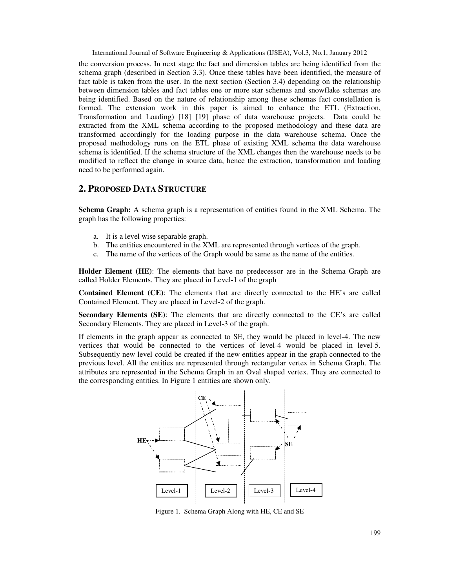the conversion process. In next stage the fact and dimension tables are being identified from the schema graph (described in Section 3.3). Once these tables have been identified, the measure of fact table is taken from the user. In the next section (Section 3.4) depending on the relationship between dimension tables and fact tables one or more star schemas and snowflake schemas are being identified. Based on the nature of relationship among these schemas fact constellation is formed. The extension work in this paper is aimed to enhance the ETL (Extraction, Transformation and Loading) [18] [19] phase of data warehouse projects. Data could be extracted from the XML schema according to the proposed methodology and these data are transformed accordingly for the loading purpose in the data warehouse schema. Once the proposed methodology runs on the ETL phase of existing XML schema the data warehouse schema is identified. If the schema structure of the XML changes then the warehouse needs to be modified to reflect the change in source data, hence the extraction, transformation and loading need to be performed again.

# **2. PROPOSED DATA STRUCTURE**

**Schema Graph:** A schema graph is a representation of entities found in the XML Schema. The graph has the following properties:

- a. It is a level wise separable graph.
- b. The entities encountered in the XML are represented through vertices of the graph.
- c. The name of the vertices of the Graph would be same as the name of the entities.

**Holder Element (HE)**: The elements that have no predecessor are in the Schema Graph are called Holder Elements. They are placed in Level-1 of the graph

**Contained Element (CE)**: The elements that are directly connected to the HE's are called Contained Element. They are placed in Level-2 of the graph.

**Secondary Elements (SE)**: The elements that are directly connected to the CE's are called Secondary Elements. They are placed in Level-3 of the graph.

If elements in the graph appear as connected to SE, they would be placed in level-4. The new vertices that would be connected to the vertices of level-4 would be placed in level-5. Subsequently new level could be created if the new entities appear in the graph connected to the previous level. All the entities are represented through rectangular vertex in Schema Graph. The attributes are represented in the Schema Graph in an Oval shaped vertex. They are connected to the corresponding entities. In Figure 1 entities are shown only.



Figure 1. Schema Graph Along with HE, CE and SE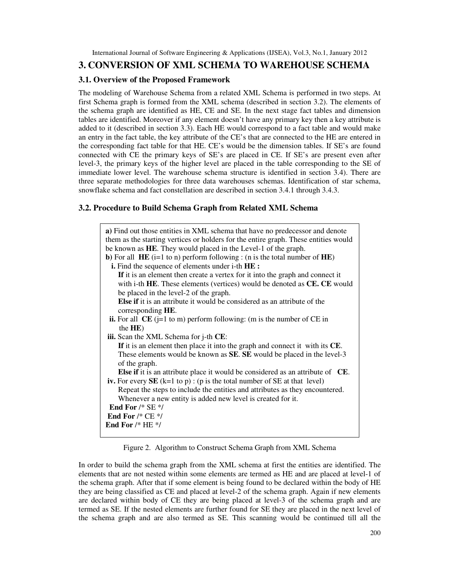# **3. CONVERSION OF XML SCHEMA TO WAREHOUSE SCHEMA**

#### **3.1. Overview of the Proposed Framework**

The modeling of Warehouse Schema from a related XML Schema is performed in two steps. At first Schema graph is formed from the XML schema (described in section 3.2). The elements of the schema graph are identified as HE, CE and SE. In the next stage fact tables and dimension tables are identified. Moreover if any element doesn't have any primary key then a key attribute is added to it (described in section 3.3). Each HE would correspond to a fact table and would make an entry in the fact table, the key attribute of the CE's that are connected to the HE are entered in the corresponding fact table for that HE. CE's would be the dimension tables. If SE's are found connected with CE the primary keys of SE's are placed in CE. If SE's are present even after level-3, the primary keys of the higher level are placed in the table corresponding to the SE of immediate lower level. The warehouse schema structure is identified in section 3.4). There are three separate methodologies for three data warehouses schemas. Identification of star schema, snowflake schema and fact constellation are described in section 3.4.1 through 3.4.3.

#### **3.2. Procedure to Build Schema Graph from Related XML Schema**

| a) Find out those entities in XML schema that have no predecessor and denote                 |
|----------------------------------------------------------------------------------------------|
| them as the starting vertices or holders for the entire graph. These entities would          |
| be known as HE. They would placed in the Level-1 of the graph.                               |
| <b>b</b> ) For all <b>HE</b> (i=1 to n) perform following : (n is the total number of $HE$ ) |
| i. Find the sequence of elements under i-th HE :                                             |
| If it is an element then create a vertex for it into the graph and connect it                |
| with i-th HE. These elements (vertices) would be denoted as CE. CE would                     |
| be placed in the level-2 of the graph.                                                       |
| <b>Else if</b> it is an attribute it would be considered as an attribute of the              |
| corresponding HE.                                                                            |
| ii. For all $CE$ (j=1 to m) perform following: (m is the number of $CE$ in                   |
| the HE)                                                                                      |
| iii. Scan the XML Schema for j-th CE:                                                        |
| If it is an element then place it into the graph and connect it with its CE.                 |
| These elements would be known as <b>SE</b> . <b>SE</b> would be placed in the level-3        |
| of the graph.                                                                                |
| <b>Else if it is an attribute place it would be considered as an attribute of CE.</b>        |
| iv. For every $SE$ (k=1 to p) : (p is the total number of SE at that level)                  |
| Repeat the steps to include the entities and attributes as they encountered.                 |
| Whenever a new entity is added new level is created for it.                                  |
| End For $/*$ SE $*/$                                                                         |
| End For $/*$ CE $*/$                                                                         |
| End For $/*$ HE $*/$                                                                         |
|                                                                                              |

Figure 2. Algorithm to Construct Schema Graph from XML Schema

In order to build the schema graph from the XML schema at first the entities are identified. The elements that are not nested within some elements are termed as HE and are placed at level-1 of the schema graph. After that if some element is being found to be declared within the body of HE they are being classified as CE and placed at level-2 of the schema graph. Again if new elements are declared within body of CE they are being placed at level-3 of the schema graph and are termed as SE. If the nested elements are further found for SE they are placed in the next level of the schema graph and are also termed as SE. This scanning would be continued till all the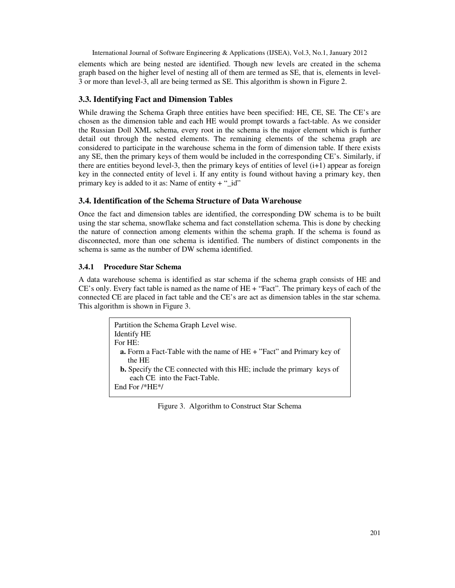elements which are being nested are identified. Though new levels are created in the schema graph based on the higher level of nesting all of them are termed as SE, that is, elements in level-3 or more than level-3, all are being termed as SE. This algorithm is shown in Figure 2.

## **3.3. Identifying Fact and Dimension Tables**

While drawing the Schema Graph three entities have been specified: HE, CE, SE. The CE's are chosen as the dimension table and each HE would prompt towards a fact-table. As we consider the Russian Doll XML schema, every root in the schema is the major element which is further detail out through the nested elements. The remaining elements of the schema graph are considered to participate in the warehouse schema in the form of dimension table. If there exists any SE, then the primary keys of them would be included in the corresponding CE's. Similarly, if there are entities beyond level-3, then the primary keys of entities of level  $(i+1)$  appear as foreign key in the connected entity of level i. If any entity is found without having a primary key, then primary key is added to it as: Name of entity  $+$  " $_id$ "

## **3.4. Identification of the Schema Structure of Data Warehouse**

Once the fact and dimension tables are identified, the corresponding DW schema is to be built using the star schema, snowflake schema and fact constellation schema. This is done by checking the nature of connection among elements within the schema graph. If the schema is found as disconnected, more than one schema is identified. The numbers of distinct components in the schema is same as the number of DW schema identified.

## **3.4.1 Procedure Star Schema**

A data warehouse schema is identified as star schema if the schema graph consists of HE and CE's only. Every fact table is named as the name of HE + "Fact". The primary keys of each of the connected CE are placed in fact table and the CE's are act as dimension tables in the star schema. This algorithm is shown in Figure 3.

| Partition the Schema Graph Level wise.                                                                       |
|--------------------------------------------------------------------------------------------------------------|
| <b>Identify HE</b>                                                                                           |
| For $HE:$                                                                                                    |
| <b>a.</b> Form a Fact-Table with the name of $HE + "Fact"$ and Primary key of<br>the HE                      |
| <b>b.</b> Specify the CE connected with this HE; include the primary keys of<br>each CE into the Fact-Table. |
| End For $/*HE*/$                                                                                             |

Figure 3. Algorithm to Construct Star Schema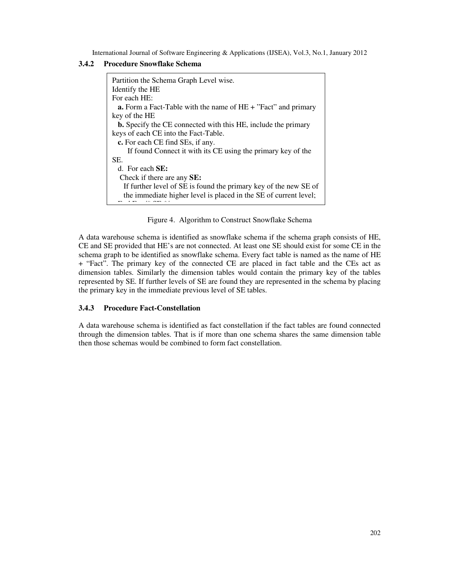#### **3.4.2 Procedure Snowflake Schema**

| Partition the Schema Graph Level wise.                                 |
|------------------------------------------------------------------------|
| Identify the HE                                                        |
| For each HE:                                                           |
| <b>a.</b> Form a Fact-Table with the name of $HE + "Fact"$ and primary |
| key of the HE                                                          |
| <b>b.</b> Specify the CE connected with this HE, include the primary   |
| keys of each CE into the Fact-Table.                                   |
| c. For each CE find SEs, if any.                                       |
| If found Connect it with its CE using the primary key of the           |
| SE.                                                                    |
| d. For each $SE:$                                                      |
| Check if there are any <b>SE:</b>                                      |
| If further level of SE is found the primary key of the new SE of       |
| the immediate higher level is placed in the SE of current level;       |
|                                                                        |

Figure 4. Algorithm to Construct Snowflake Schema

A data warehouse schema is identified as snowflake schema if the schema graph consists of HE, CE and SE provided that HE's are not connected. At least one SE should exist for some CE in the schema graph to be identified as snowflake schema. Every fact table is named as the name of HE + "Fact". The primary key of the connected CE are placed in fact table and the CEs act as dimension tables. Similarly the dimension tables would contain the primary key of the tables represented by SE. If further levels of SE are found they are represented in the schema by placing the primary key in the immediate previous level of SE tables.

## **3.4.3 Procedure Fact-Constellation**

A data warehouse schema is identified as fact constellation if the fact tables are found connected through the dimension tables. That is if more than one schema shares the same dimension table then those schemas would be combined to form fact constellation.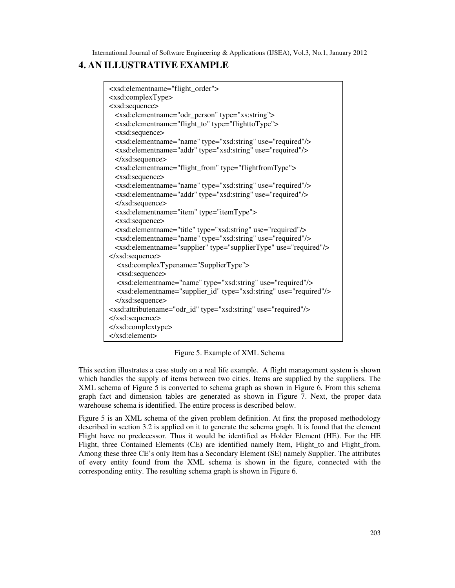# **4. AN ILLUSTRATIVE EXAMPLE**

```
<xsd:elementname="flight_order"> 
<xsd:complexType> 
<xsd:sequence> 
  <xsd:elementname="odr_person" type="xs:string"> 
  <xsd:elementname="flight_to" type="flighttoType"> 
  <xsd:sequence> 
  <xsd:elementname="name" type="xsd:string" use="required"/> 
  <xsd:elementname="addr" type="xsd:string" use="required"/> 
 </xsd:sequence> 
  <xsd:elementname="flight_from" type="flightfromType"> 
  <xsd:sequence> 
  <xsd:elementname="name" type="xsd:string" use="required"/> 
  <xsd:elementname="addr" type="xsd:string" use="required"/> 
 </xsd:sequence> 
 <xsd:elementname="item" type="itemType"> 
 <xsd:sequence> 
  <xsd:elementname="title" type="xsd:string" use="required"/> 
  <xsd:elementname="name" type="xsd:string" use="required"/> 
  <xsd:elementname="supplier" type="supplierType" use="required"/> 
</xsd:sequence> 
   <xsd:complexTypename="SupplierType"> 
   <xsd:sequence> 
   <xsd:elementname="name" type="xsd:string" use="required"/> 
   <xsd:elementname="supplier_id" type="xsd:string" use="required"/> 
 </xsd:sequence> 
<xsd:attributename="odr_id" type="xsd:string" use="required"/> 
</xsd:sequence> 
</xsd:complextype> 
</xsd:element>
```
Figure 5. Example of XML Schema

This section illustrates a case study on a real life example. A flight management system is shown which handles the supply of items between two cities. Items are supplied by the suppliers. The XML schema of Figure 5 is converted to schema graph as shown in Figure 6. From this schema graph fact and dimension tables are generated as shown in Figure 7. Next, the proper data warehouse schema is identified. The entire process is described below.

Figure 5 is an XML schema of the given problem definition. At first the proposed methodology described in section 3.2 is applied on it to generate the schema graph. It is found that the element Flight have no predecessor. Thus it would be identified as Holder Element (HE). For the HE Flight, three Contained Elements (CE) are identified namely Item, Flight to and Flight from. Among these three CE's only Item has a Secondary Element (SE) namely Supplier. The attributes of every entity found from the XML schema is shown in the figure, connected with the corresponding entity. The resulting schema graph is shown in Figure 6.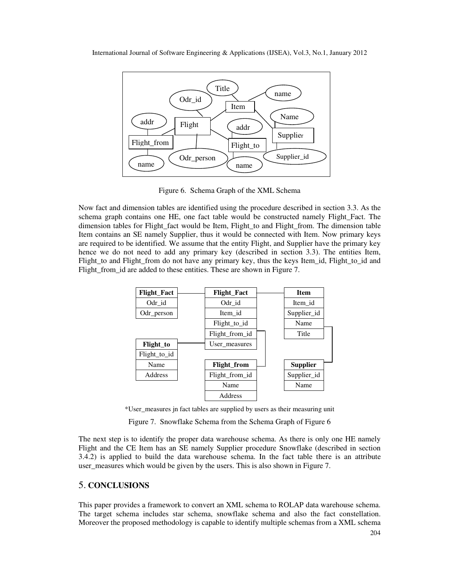

Figure 6. Schema Graph of the XML Schema

Now fact and dimension tables are identified using the procedure described in section 3.3. As the schema graph contains one HE, one fact table would be constructed namely Flight\_Fact. The dimension tables for Flight fact would be Item, Flight to and Flight from. The dimension table Item contains an SE namely Supplier, thus it would be connected with Item. Now primary keys are required to be identified. We assume that the entity Flight, and Supplier have the primary key hence we do not need to add any primary key (described in section 3.3). The entities Item, Flight\_to and Flight\_from do not have any primary key, thus the keys Item\_id, Flight\_to\_id and Flight\_from\_id are added to these entities. These are shown in Figure 7.



\*User\_measures jn fact tables are supplied by users as their measuring unit

Figure 7. Snowflake Schema from the Schema Graph of Figure 6

The next step is to identify the proper data warehouse schema. As there is only one HE namely Flight and the CE Item has an SE namely Supplier procedure Snowflake (described in section 3.4.2) is applied to build the data warehouse schema. In the fact table there is an attribute user\_measures which would be given by the users. This is also shown in Figure 7.

## 5. **CONCLUSIONS**

This paper provides a framework to convert an XML schema to ROLAP data warehouse schema. The target schema includes star schema, snowflake schema and also the fact constellation. Moreover the proposed methodology is capable to identify multiple schemas from a XML schema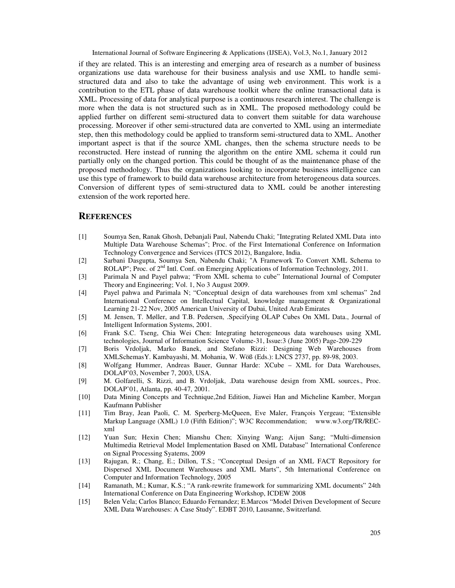if they are related. This is an interesting and emerging area of research as a number of business organizations use data warehouse for their business analysis and use XML to handle semistructured data and also to take the advantage of using web environment. This work is a contribution to the ETL phase of data warehouse toolkit where the online transactional data is XML. Processing of data for analytical purpose is a continuous research interest. The challenge is more when the data is not structured such as in XML. The proposed methodology could be applied further on different semi-structured data to convert them suitable for data warehouse processing. Moreover if other semi-structured data are converted to XML using an intermediate step, then this methodology could be applied to transform semi-structured data to XML. Another important aspect is that if the source XML changes, then the schema structure needs to be reconstructed. Here instead of running the algorithm on the entire XML schema it could run partially only on the changed portion. This could be thought of as the maintenance phase of the proposed methodology. Thus the organizations looking to incorporate business intelligence can use this type of framework to build data warehouse architecture from heterogeneous data sources. Conversion of different types of semi-structured data to XML could be another interesting extension of the work reported here.

## **REFERENCES**

- [1] Soumya Sen, Ranak Ghosh, Debanjali Paul, Nabendu Chaki; "Integrating Related XML Data into Multiple Data Warehouse Schemas"; Proc. of the First International Conference on Information Technology Convergence and Services (ITCS 2012), Bangalore, India.
- [2] Sarbani Dasgupta, Soumya Sen, Nabendu Chaki; "A Framework To Convert XML Schema to ROLAP"; Proc. of 2<sup>nd</sup> Intl. Conf. on Emerging Applications of Information Technology, 2011.
- [3] Parimala N and Payel pahwa; "From XML schema to cube" International Journal of Computer Theory and Engineering; Vol. 1, No 3 August 2009.
- [4] Payel pahwa and Parimala N; "Conceptual design of data warehouses from xml schemas" 2nd International Conference on Intellectual Capital, knowledge management & Organizational Learning 21-22 Nov, 2005 American University of Dubai, United Arab Emirates
- [5] M. Jensen, T. Møller, and T.B. Pedersen, .Specifying OLAP Cubes On XML Data., Journal of Intelligent Information Systems, 2001.
- [6] Frank S.C. Tseng, Chia Wei Chen: Integrating heterogeneous data warehouses using XML technologies, Journal of Information Science Volume-31, Issue:3 (June 2005) Page-209-229
- [7] Boris Vrdoljak, Marko Banek, and Stefano Rizzi: Designing Web Warehouses from XMLSchemasY. Kambayashi, M. Mohania, W. Wöß (Eds.): LNCS 2737, pp. 89-98, 2003.
- [8] Wolfgang Hummer, Andreas Bauer, Gunnar Harde: XCube XML for Data Warehouses, DOLAP'03, November 7, 2003, USA.
- [9] M. Golfarelli, S. Rizzi, and B. Vrdoljak, .Data warehouse design from XML sources., Proc. DOLAP'01, Atlanta, pp. 40-47, 2001.
- [10] Data Mining Concepts and Technique,2nd Edition, Jiawei Han and Micheline Kamber, Morgan Kaufmann Publisher
- [11] Tim Bray, Jean Paoli, C. M. Sperberg-McQueen, Eve Maler, François Yergeau; "Extensible Markup Language (XML) 1.0 (Fifth Edition)"; W3C Recommendation; www.w3.org/TR/RECxml
- [12] Yuan Sun; Hexin Chen; Mianshu Chen; Xinying Wang; Aijun Sang; "Multi-dimension Multimedia Retrieval Model Implementation Based on XML Database" International Conference on Signal Processing Syatems, 2009
- [13] Rajugan, R.; Chang, E.; Dillon, T.S.; "Conceptual Design of an XML FACT Repository for Dispersed XML Document Warehouses and XML Marts", 5th International Conference on Computer and Information Technology, 2005
- [14] Ramanath, M.; Kumar, K.S.; "A rank-rewrite framework for summarizing XML documents" 24th International Conference on Data Engineering Workshop, ICDEW 2008
- [15] Belen Vela; Carlos Blanco; Eduardo Fernandez; E.Marcos "Model Driven Development of Secure XML Data Warehouses: A Case Study". EDBT 2010, Lausanne, Switzerland.